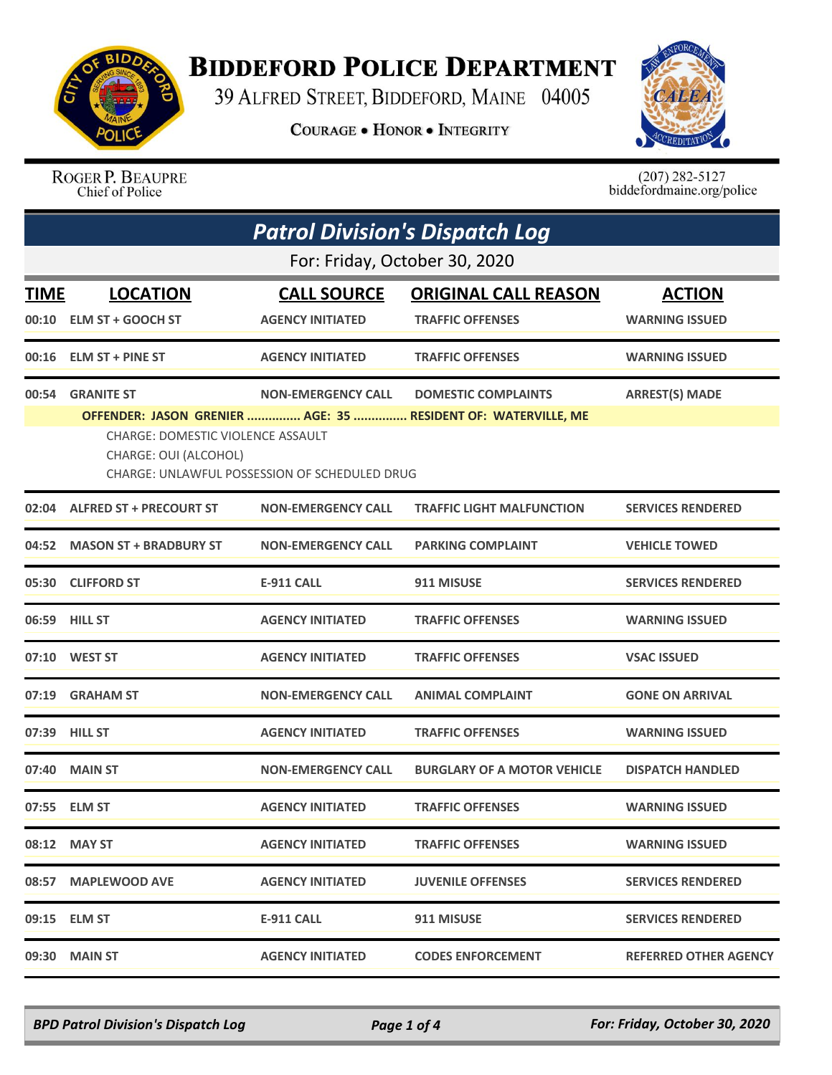

## **BIDDEFORD POLICE DEPARTMENT**

39 ALFRED STREET, BIDDEFORD, MAINE 04005

**COURAGE . HONOR . INTEGRITY** 



ROGER P. BEAUPRE Chief of Police

 $(207)$  282-5127<br>biddefordmaine.org/police

| <b>Patrol Division's Dispatch Log</b> |                                                                                                                                                                              |                           |                                    |                              |  |  |
|---------------------------------------|------------------------------------------------------------------------------------------------------------------------------------------------------------------------------|---------------------------|------------------------------------|------------------------------|--|--|
|                                       | For: Friday, October 30, 2020                                                                                                                                                |                           |                                    |                              |  |  |
| <b>LOCATION</b><br>TIME               |                                                                                                                                                                              | <b>CALL SOURCE</b>        | <b>ORIGINAL CALL REASON</b>        | <b>ACTION</b>                |  |  |
| 00:10                                 | <b>ELM ST + GOOCH ST</b>                                                                                                                                                     | <b>AGENCY INITIATED</b>   | <b>TRAFFIC OFFENSES</b>            | <b>WARNING ISSUED</b>        |  |  |
|                                       | 00:16 ELM ST + PINE ST                                                                                                                                                       | <b>AGENCY INITIATED</b>   | <b>TRAFFIC OFFENSES</b>            | <b>WARNING ISSUED</b>        |  |  |
| 00:54                                 | <b>GRANITE ST</b>                                                                                                                                                            | <b>NON-EMERGENCY CALL</b> | <b>DOMESTIC COMPLAINTS</b>         | <b>ARREST(S) MADE</b>        |  |  |
|                                       | OFFENDER: JASON GRENIER  AGE: 35  RESIDENT OF: WATERVILLE, ME<br>CHARGE: DOMESTIC VIOLENCE ASSAULT<br>CHARGE: OUI (ALCOHOL)<br>CHARGE: UNLAWFUL POSSESSION OF SCHEDULED DRUG |                           |                                    |                              |  |  |
|                                       | 02:04 ALFRED ST + PRECOURT ST                                                                                                                                                | <b>NON-EMERGENCY CALL</b> | <b>TRAFFIC LIGHT MALFUNCTION</b>   | <b>SERVICES RENDERED</b>     |  |  |
|                                       | 04:52 MASON ST + BRADBURY ST                                                                                                                                                 | <b>NON-EMERGENCY CALL</b> | <b>PARKING COMPLAINT</b>           | <b>VEHICLE TOWED</b>         |  |  |
|                                       | 05:30 CLIFFORD ST                                                                                                                                                            | <b>E-911 CALL</b>         | 911 MISUSE                         | <b>SERVICES RENDERED</b>     |  |  |
|                                       | 06:59 HILL ST                                                                                                                                                                | <b>AGENCY INITIATED</b>   | <b>TRAFFIC OFFENSES</b>            | <b>WARNING ISSUED</b>        |  |  |
|                                       |                                                                                                                                                                              | <b>AGENCY INITIATED</b>   | <b>TRAFFIC OFFENSES</b>            | <b>VSAC ISSUED</b>           |  |  |
|                                       | 07:19 GRAHAM ST                                                                                                                                                              | <b>NON-EMERGENCY CALL</b> | <b>ANIMAL COMPLAINT</b>            | <b>GONE ON ARRIVAL</b>       |  |  |
|                                       | 07:39 HILL ST                                                                                                                                                                | <b>AGENCY INITIATED</b>   | <b>TRAFFIC OFFENSES</b>            | <b>WARNING ISSUED</b>        |  |  |
|                                       | 07:40 MAIN ST                                                                                                                                                                | <b>NON-EMERGENCY CALL</b> | <b>BURGLARY OF A MOTOR VEHICLE</b> | <b>DISPATCH HANDLED</b>      |  |  |
|                                       | 07:55 ELM ST                                                                                                                                                                 | <b>AGENCY INITIATED</b>   | <b>TRAFFIC OFFENSES</b>            | <b>WARNING ISSUED</b>        |  |  |
|                                       | 08:12 MAY ST                                                                                                                                                                 | <b>AGENCY INITIATED</b>   | <b>TRAFFIC OFFENSES</b>            | <b>WARNING ISSUED</b>        |  |  |
|                                       | 08:57 MAPLEWOOD AVE                                                                                                                                                          | <b>AGENCY INITIATED</b>   | <b>JUVENILE OFFENSES</b>           | <b>SERVICES RENDERED</b>     |  |  |
|                                       | 09:15 ELM ST                                                                                                                                                                 | <b>E-911 CALL</b>         | 911 MISUSE                         | <b>SERVICES RENDERED</b>     |  |  |
|                                       | 09:30 MAIN ST                                                                                                                                                                | <b>AGENCY INITIATED</b>   | <b>CODES ENFORCEMENT</b>           | <b>REFERRED OTHER AGENCY</b> |  |  |

*BPD Patrol Division's Dispatch Log Page 1 of 4 For: Friday, October 30, 2020*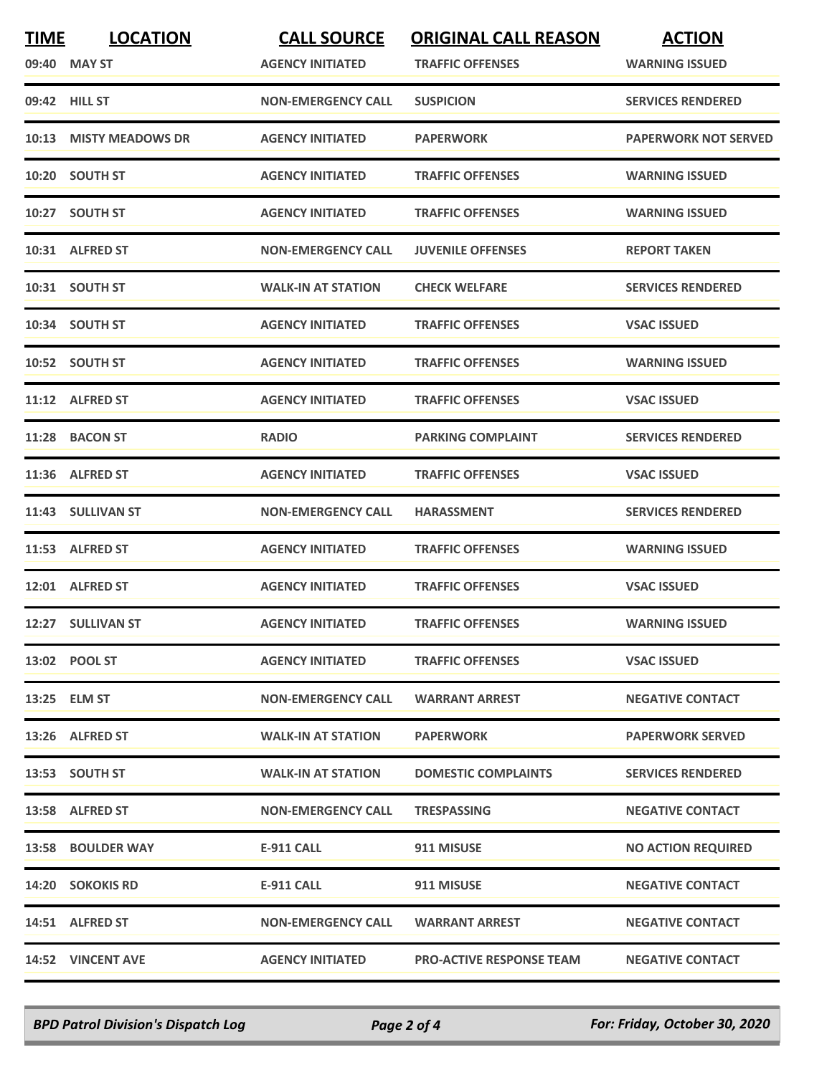| <b>TIME</b> | <b>LOCATION</b>        | <b>CALL SOURCE</b>        | <b>ORIGINAL CALL REASON</b>     | <b>ACTION</b>               |
|-------------|------------------------|---------------------------|---------------------------------|-----------------------------|
|             | 09:40 MAY ST           | <b>AGENCY INITIATED</b>   | <b>TRAFFIC OFFENSES</b>         | <b>WARNING ISSUED</b>       |
|             | 09:42 HILL ST          | <b>NON-EMERGENCY CALL</b> | <b>SUSPICION</b>                | <b>SERVICES RENDERED</b>    |
|             | 10:13 MISTY MEADOWS DR | <b>AGENCY INITIATED</b>   | <b>PAPERWORK</b>                | <b>PAPERWORK NOT SERVED</b> |
|             | 10:20 SOUTH ST         | <b>AGENCY INITIATED</b>   | <b>TRAFFIC OFFENSES</b>         | <b>WARNING ISSUED</b>       |
|             | 10:27 SOUTH ST         | <b>AGENCY INITIATED</b>   | <b>TRAFFIC OFFENSES</b>         | <b>WARNING ISSUED</b>       |
|             | 10:31 ALFRED ST        | <b>NON-EMERGENCY CALL</b> | <b>JUVENILE OFFENSES</b>        | <b>REPORT TAKEN</b>         |
|             | 10:31 SOUTH ST         | <b>WALK-IN AT STATION</b> | <b>CHECK WELFARE</b>            | <b>SERVICES RENDERED</b>    |
|             | 10:34 SOUTH ST         | <b>AGENCY INITIATED</b>   | <b>TRAFFIC OFFENSES</b>         | <b>VSAC ISSUED</b>          |
|             | 10:52 SOUTH ST         | <b>AGENCY INITIATED</b>   | <b>TRAFFIC OFFENSES</b>         | <b>WARNING ISSUED</b>       |
|             | 11:12 ALFRED ST        | <b>AGENCY INITIATED</b>   | <b>TRAFFIC OFFENSES</b>         | <b>VSAC ISSUED</b>          |
|             | 11:28 BACON ST         | <b>RADIO</b>              | <b>PARKING COMPLAINT</b>        | <b>SERVICES RENDERED</b>    |
|             | 11:36 ALFRED ST        | <b>AGENCY INITIATED</b>   | <b>TRAFFIC OFFENSES</b>         | <b>VSAC ISSUED</b>          |
|             | 11:43 SULLIVAN ST      | <b>NON-EMERGENCY CALL</b> | <b>HARASSMENT</b>               | <b>SERVICES RENDERED</b>    |
|             | 11:53 ALFRED ST        | <b>AGENCY INITIATED</b>   | <b>TRAFFIC OFFENSES</b>         | <b>WARNING ISSUED</b>       |
|             | 12:01 ALFRED ST        | <b>AGENCY INITIATED</b>   | <b>TRAFFIC OFFENSES</b>         | <b>VSAC ISSUED</b>          |
|             | 12:27 SULLIVAN ST      | <b>AGENCY INITIATED</b>   | <b>TRAFFIC OFFENSES</b>         | <b>WARNING ISSUED</b>       |
|             | 13:02 POOL ST          | <b>AGENCY INITIATED</b>   | <b>TRAFFIC OFFENSES</b>         | <b>VSAC ISSUED</b>          |
|             | 13:25 ELM ST           | <b>NON-EMERGENCY CALL</b> | <b>WARRANT ARREST</b>           | <b>NEGATIVE CONTACT</b>     |
|             | 13:26 ALFRED ST        | <b>WALK-IN AT STATION</b> | <b>PAPERWORK</b>                | <b>PAPERWORK SERVED</b>     |
|             | 13:53 SOUTH ST         | <b>WALK-IN AT STATION</b> | <b>DOMESTIC COMPLAINTS</b>      | <b>SERVICES RENDERED</b>    |
|             | 13:58 ALFRED ST        | <b>NON-EMERGENCY CALL</b> | <b>TRESPASSING</b>              | <b>NEGATIVE CONTACT</b>     |
|             | 13:58 BOULDER WAY      | <b>E-911 CALL</b>         | 911 MISUSE                      | <b>NO ACTION REQUIRED</b>   |
|             | 14:20 SOKOKIS RD       | <b>E-911 CALL</b>         | 911 MISUSE                      | <b>NEGATIVE CONTACT</b>     |
|             | 14:51 ALFRED ST        | <b>NON-EMERGENCY CALL</b> | <b>WARRANT ARREST</b>           | <b>NEGATIVE CONTACT</b>     |
|             | 14:52 VINCENT AVE      | <b>AGENCY INITIATED</b>   | <b>PRO-ACTIVE RESPONSE TEAM</b> | <b>NEGATIVE CONTACT</b>     |

*BPD Patrol Division's Dispatch Log Page 2 of 4 For: Friday, October 30, 2020*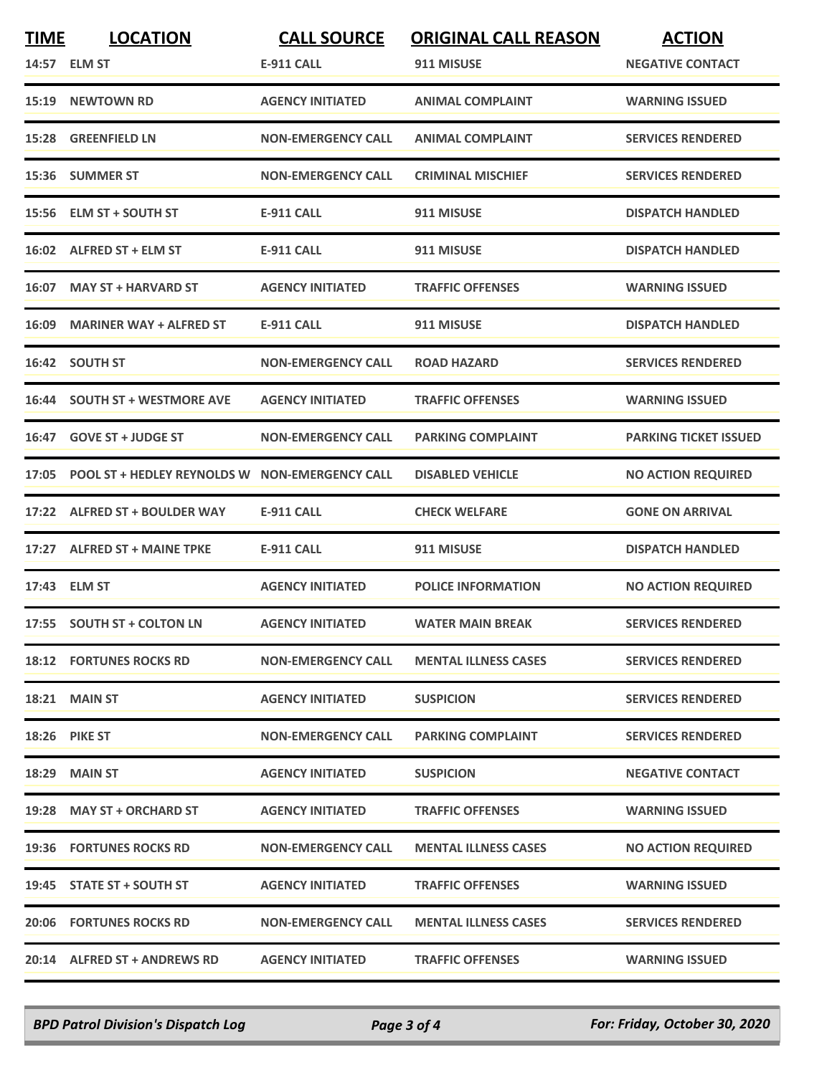| <b>TIME</b> | <b>LOCATION</b>                                      | <b>CALL SOURCE</b>        | <b>ORIGINAL CALL REASON</b> | <b>ACTION</b>                |
|-------------|------------------------------------------------------|---------------------------|-----------------------------|------------------------------|
|             | 14:57 ELM ST                                         | E-911 CALL                | 911 MISUSE                  | <b>NEGATIVE CONTACT</b>      |
|             | 15:19 NEWTOWN RD                                     | <b>AGENCY INITIATED</b>   | <b>ANIMAL COMPLAINT</b>     | <b>WARNING ISSUED</b>        |
| 15:28       | <b>GREENFIELD LN</b>                                 | <b>NON-EMERGENCY CALL</b> | <b>ANIMAL COMPLAINT</b>     | <b>SERVICES RENDERED</b>     |
|             | 15:36 SUMMER ST                                      | <b>NON-EMERGENCY CALL</b> | <b>CRIMINAL MISCHIEF</b>    | <b>SERVICES RENDERED</b>     |
|             | 15:56 ELM ST + SOUTH ST                              | <b>E-911 CALL</b>         | 911 MISUSE                  | <b>DISPATCH HANDLED</b>      |
|             | 16:02 ALFRED ST + ELM ST                             | <b>E-911 CALL</b>         | 911 MISUSE                  | <b>DISPATCH HANDLED</b>      |
| 16:07       | <b>MAY ST + HARVARD ST</b>                           | <b>AGENCY INITIATED</b>   | <b>TRAFFIC OFFENSES</b>     | <b>WARNING ISSUED</b>        |
|             | 16:09 MARINER WAY + ALFRED ST                        | <b>E-911 CALL</b>         | 911 MISUSE                  | <b>DISPATCH HANDLED</b>      |
|             | 16:42 SOUTH ST                                       | <b>NON-EMERGENCY CALL</b> | <b>ROAD HAZARD</b>          | <b>SERVICES RENDERED</b>     |
|             | 16:44 SOUTH ST + WESTMORE AVE                        | <b>AGENCY INITIATED</b>   | <b>TRAFFIC OFFENSES</b>     | <b>WARNING ISSUED</b>        |
|             | 16:47 GOVE ST + JUDGE ST                             | <b>NON-EMERGENCY CALL</b> | <b>PARKING COMPLAINT</b>    | <b>PARKING TICKET ISSUED</b> |
|             | 17:05 POOL ST + HEDLEY REYNOLDS W NON-EMERGENCY CALL |                           | <b>DISABLED VEHICLE</b>     | <b>NO ACTION REQUIRED</b>    |
|             | 17:22 ALFRED ST + BOULDER WAY                        | <b>E-911 CALL</b>         | <b>CHECK WELFARE</b>        | <b>GONE ON ARRIVAL</b>       |
|             | 17:27 ALFRED ST + MAINE TPKE                         | <b>E-911 CALL</b>         | 911 MISUSE                  | <b>DISPATCH HANDLED</b>      |
|             | 17:43 ELM ST                                         | <b>AGENCY INITIATED</b>   | <b>POLICE INFORMATION</b>   | <b>NO ACTION REQUIRED</b>    |
|             | 17:55 SOUTH ST + COLTON LN                           | <b>AGENCY INITIATED</b>   | <b>WATER MAIN BREAK</b>     | <b>SERVICES RENDERED</b>     |
|             | <b>18:12 FORTUNES ROCKS RD</b>                       | <b>NON-EMERGENCY CALL</b> | <b>MENTAL ILLNESS CASES</b> | <b>SERVICES RENDERED</b>     |
|             | 18:21 MAIN ST                                        | <b>AGENCY INITIATED</b>   | <b>SUSPICION</b>            | <b>SERVICES RENDERED</b>     |
|             | <b>18:26 PIKE ST</b>                                 | <b>NON-EMERGENCY CALL</b> | <b>PARKING COMPLAINT</b>    | <b>SERVICES RENDERED</b>     |
|             | 18:29 MAIN ST                                        | <b>AGENCY INITIATED</b>   | <b>SUSPICION</b>            | <b>NEGATIVE CONTACT</b>      |
|             | 19:28 MAY ST + ORCHARD ST                            | <b>AGENCY INITIATED</b>   | <b>TRAFFIC OFFENSES</b>     | <b>WARNING ISSUED</b>        |
|             | 19:36 FORTUNES ROCKS RD                              | <b>NON-EMERGENCY CALL</b> | <b>MENTAL ILLNESS CASES</b> | <b>NO ACTION REQUIRED</b>    |
|             | 19:45 STATE ST + SOUTH ST                            | <b>AGENCY INITIATED</b>   | <b>TRAFFIC OFFENSES</b>     | <b>WARNING ISSUED</b>        |
|             | <b>20:06 FORTUNES ROCKS RD</b>                       | <b>NON-EMERGENCY CALL</b> | <b>MENTAL ILLNESS CASES</b> | <b>SERVICES RENDERED</b>     |
|             | 20:14 ALFRED ST + ANDREWS RD                         | <b>AGENCY INITIATED</b>   | <b>TRAFFIC OFFENSES</b>     | <b>WARNING ISSUED</b>        |

*BPD Patrol Division's Dispatch Log Page 3 of 4 For: Friday, October 30, 2020*